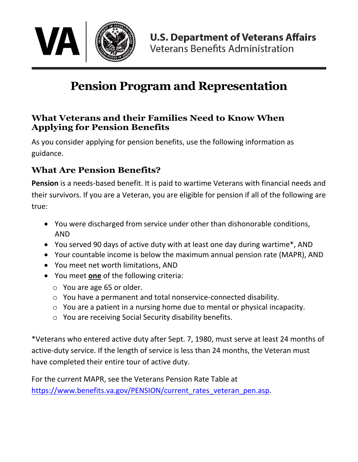

# **Pension Program and Representation**

#### **What Veterans and their Families Need to Know When Applying for Pension Benefits**

As you consider applying for pension benefits, use the following information as guidance.

#### **What Are Pension Benefits?**

**Pension** is a needs-based benefit. It is paid to wartime Veterans with financial needs and their survivors. If you are a Veteran, you are eligible for pension if all of the following are true:

- You were discharged from service under other than dishonorable conditions, AND
- You served 90 days of active duty with at least one day during wartime\*, AND
- Your countable income is below the maximum annual pension rate (MAPR), AND
- You meet net worth limitations, AND
- You meet **one** of the following criteria:
	- o You are age 65 or older.
	- o You have a permanent and total nonservice-connected disability.
	- o You are a patient in a nursing home due to mental or physical incapacity.
	- o You are receiving Social Security disability benefits.

\*Veterans who entered active duty after Sept. 7, 1980, must serve at least 24 months of active-duty service. If the length of service is less than 24 months, the Veteran must have completed their entire tour of active duty.

For the current MAPR, see the Veterans Pension Rate Table at https://www.benefits.va.gov/PENSION/current rates veteran pen.asp.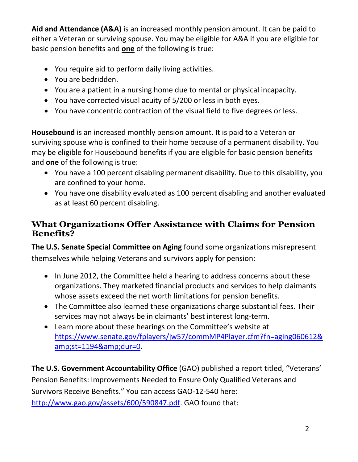**Aid and Attendance (A&A)** is an increased monthly pension amount. It can be paid to either a Veteran or surviving spouse. You may be eligible for A&A if you are eligible for basic pension benefits and **one** of the following is true:

- You require aid to perform daily living activities.
- You are bedridden.
- You are a patient in a nursing home due to mental or physical incapacity.
- You have corrected visual acuity of 5/200 or less in both eyes.
- You have concentric contraction of the visual field to five degrees or less.

**Housebound** is an increased monthly pension amount. It is paid to a Veteran or surviving spouse who is confined to their home because of a permanent disability. You may be eligible for Housebound benefits if you are eligible for basic pension benefits and **one** of the following is true:

- You have a 100 percent disabling permanent disability. Due to this disability, you are confined to your home.
- You have one disability evaluated as 100 percent disabling and another evaluated as at least 60 percent disabling.

### **What Organizations Offer Assistance with Claims for Pension Benefits?**

**The U.S. Senate Special Committee on Aging** found some organizations misrepresent themselves while helping Veterans and survivors apply for pension:

- In June 2012, the Committee held a hearing to address concerns about these organizations. They marketed financial products and services to help claimants whose assets exceed the net worth limitations for pension benefits.
- The Committee also learned these organizations charge substantial fees. Their services may not always be in claimants' best interest long-term.
- Learn more about these hearings on the Committee's website at [https://www.senate.gov/fplayers/jw57/commMP4Player.cfm?fn=aging060612&](https://www.senate.gov/fplayers/jw57/commMP4Player.cfm?fn=aging060612&st=1194&dur=0) [amp;st=1194&dur=0.](https://www.senate.gov/fplayers/jw57/commMP4Player.cfm?fn=aging060612&st=1194&dur=0)

**The U.S. Government Accountability Office** (GAO) published a report titled, "Veterans' Pension Benefits: Improvements Needed to Ensure Only Qualified Veterans and Survivors Receive Benefits." You can access GAO-12-540 here: [http://www.gao.gov/assets/600/590847.pdf.](http://www.gao.gov/assets/600/590847.pdf) GAO found that: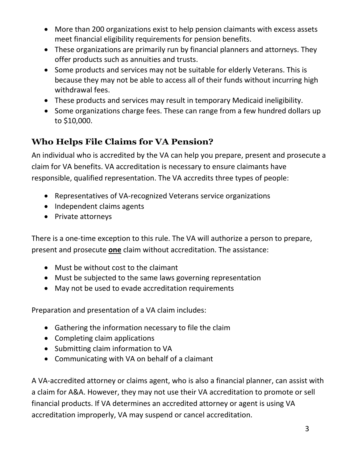- More than 200 organizations exist to help pension claimants with excess assets meet financial eligibility requirements for pension benefits.
- These organizations are primarily run by financial planners and attorneys. They offer products such as annuities and trusts.
- Some products and services may not be suitable for elderly Veterans. This is because they may not be able to access all of their funds without incurring high withdrawal fees.
- These products and services may result in temporary Medicaid ineligibility.
- Some organizations charge fees. These can range from a few hundred dollars up to \$10,000.

## **Who Helps File Claims for VA Pension?**

An individual who is accredited by the VA can help you prepare, present and prosecute a claim for VA benefits. VA accreditation is necessary to ensure claimants have responsible, qualified representation. The VA accredits three types of people:

- Representatives of VA-recognized Veterans service organizations
- Independent claims agents
- Private attorneys

There is a one-time exception to this rule. The VA will authorize a person to prepare, present and prosecute **one** claim without accreditation. The assistance:

- Must be without cost to the claimant
- Must be subjected to the same laws governing representation
- May not be used to evade accreditation requirements

Preparation and presentation of a VA claim includes:

- Gathering the information necessary to file the claim
- Completing claim applications
- Submitting claim information to VA
- Communicating with VA on behalf of a claimant

A VA-accredited attorney or claims agent, who is also a financial planner, can assist with a claim for A&A. However, they may not use their VA accreditation to promote or sell financial products. If VA determines an accredited attorney or agent is using VA accreditation improperly, VA may suspend or cancel accreditation.